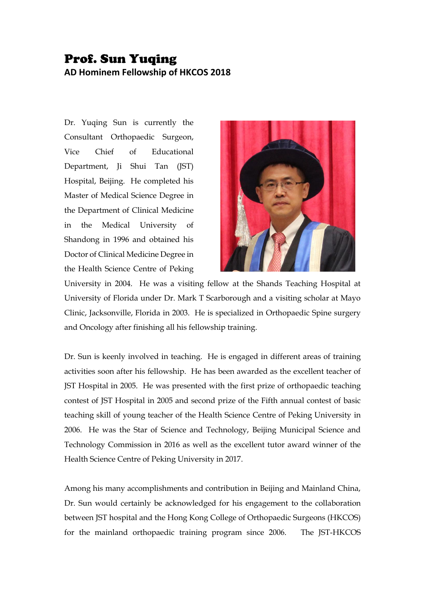## Prof. Sun Yuqing **AD Hominem Fellowship of HKCOS 2018**

Dr. Yuqing Sun is currently the Consultant Orthopaedic Surgeon, Vice Chief of Educational Department, Ji Shui Tan (JST) Hospital, Beijing. He completed his Master of Medical Science Degree in the Department of Clinical Medicine in the Medical University of Shandong in 1996 and obtained his Doctor of Clinical Medicine Degree in the Health Science Centre of Peking



University in 2004. He was a visiting fellow at the Shands Teaching Hospital at University of Florida under Dr. Mark T Scarborough and a visiting scholar at Mayo Clinic, Jacksonville, Florida in 2003. He is specialized in Orthopaedic Spine surgery and Oncology after finishing all his fellowship training.

Dr. Sun is keenly involved in teaching. He is engaged in different areas of training activities soon after his fellowship. He has been awarded as the excellent teacher of JST Hospital in 2005. He was presented with the first prize of orthopaedic teaching contest of JST Hospital in 2005 and second prize of the Fifth annual contest of basic teaching skill of young teacher of the Health Science Centre of Peking University in 2006. He was the Star of Science and Technology, Beijing Municipal Science and Technology Commission in 2016 as well as the excellent tutor award winner of the Health Science Centre of Peking University in 2017.

Among his many accomplishments and contribution in Beijing and Mainland China, Dr. Sun would certainly be acknowledged for his engagement to the collaboration between JST hospital and the Hong Kong College of Orthopaedic Surgeons (HKCOS) for the mainland orthopaedic training program since 2006. The JST-HKCOS